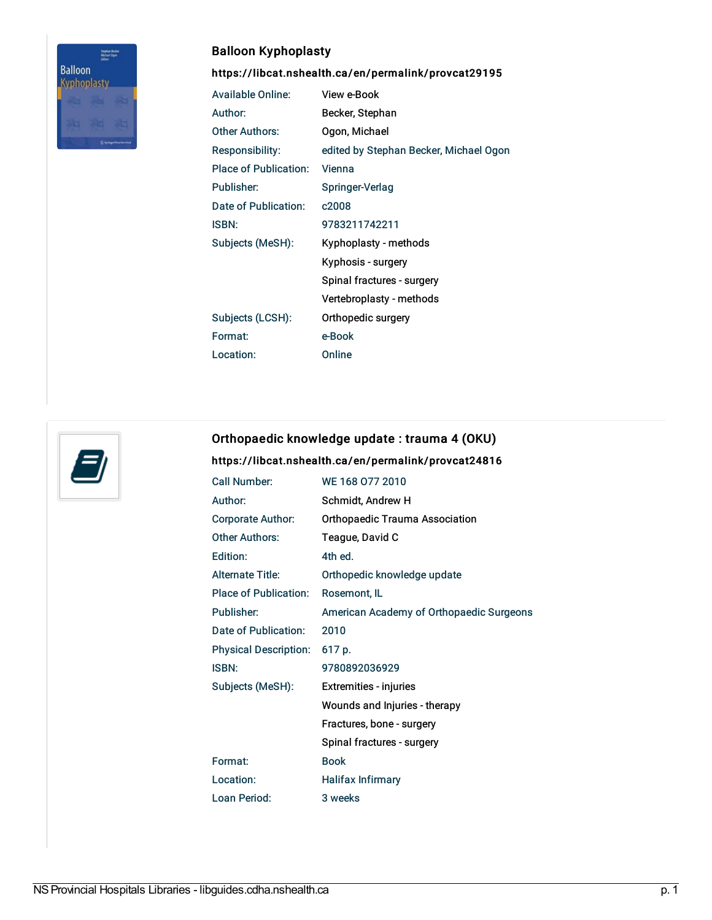

# Balloon Kyphoplasty

<https://libcat.nshealth.ca/en/permalink/provcat29195>

| <b>Available Online:</b>     | View e-Book                            |
|------------------------------|----------------------------------------|
| Author:                      | Becker, Stephan                        |
| Other Authors:               | Ogon, Michael                          |
| Responsibility:              | edited by Stephan Becker, Michael Ogon |
| <b>Place of Publication:</b> | Vienna                                 |
| Publisher:                   | Springer-Verlag                        |
| Date of Publication:         | c2008                                  |
| <b>ISBN:</b>                 | 9783211742211                          |
| Subjects (MeSH):             | Kyphoplasty - methods                  |
|                              | Kyphosis - surgery                     |
|                              | Spinal fractures - surgery             |
|                              | Vertebroplasty - methods               |
| Subjects (LCSH):             | Orthopedic surgery                     |
| Format:                      | e-Book                                 |
| Location:                    | Online                                 |



### Orthopaedic knowledge update : trauma 4 (OKU)

#### <https://libcat.nshealth.ca/en/permalink/provcat24816>

| Call Number:                 | WE 168 077 2010                          |
|------------------------------|------------------------------------------|
| Author:                      | Schmidt, Andrew H                        |
| Corporate Author:            | <b>Orthopaedic Trauma Association</b>    |
| <b>Other Authors:</b>        | Teague, David C                          |
| Edition:                     | 4th ed.                                  |
| <b>Alternate Title:</b>      | Orthopedic knowledge update              |
| <b>Place of Publication:</b> | Rosemont, IL                             |
| Publisher:                   | American Academy of Orthopaedic Surgeons |
| Date of Publication:         | 2010                                     |
| <b>Physical Description:</b> | 617 p.                                   |
| <b>ISBN:</b>                 | 9780892036929                            |
| Subjects (MeSH):             | Extremities - injuries                   |
|                              | Wounds and Injuries - therapy            |
|                              | Fractures, bone - surgery                |
|                              | Spinal fractures - surgery               |
| Format:                      | <b>Book</b>                              |
| Location:                    | <b>Halifax Infirmary</b>                 |
| Loan Period:                 | 3 weeks                                  |